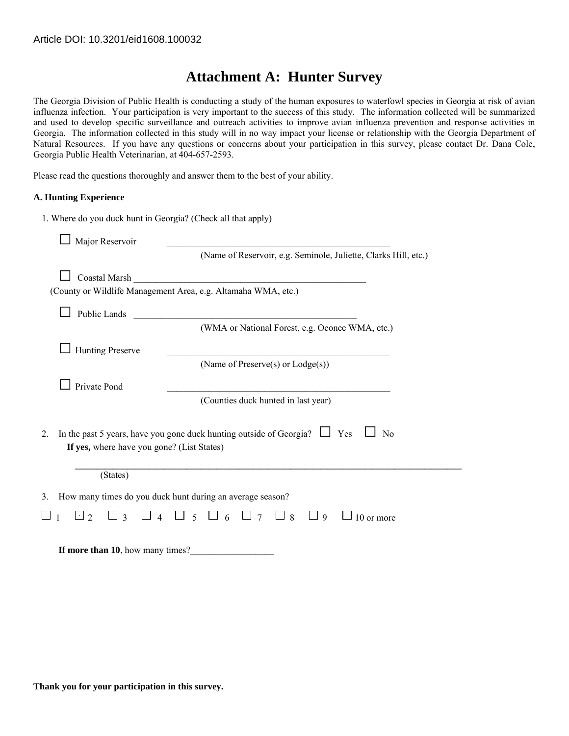## **Attachment A: Hunter Survey**

The Georgia Division of Public Health is conducting a study of the human exposures to waterfowl species in Georgia at risk of avian influenza infection. Your participation is very important to the success of this study. The information collected will be summarized and used to develop specific surveillance and outreach activities to improve avian influenza prevention and response activities in Georgia. The information collected in this study will in no way impact your license or relationship with the Georgia Department of Natural Resources. If you have any questions or concerns about your participation in this survey, please contact Dr. Dana Cole, Georgia Public Health Veterinarian, at 404-657-2593.

Please read the questions thoroughly and answer them to the best of your ability.

## **A. Hunting Experience**

| 1. Where do you duck hunt in Georgia? (Check all that apply)                                                                                   |
|------------------------------------------------------------------------------------------------------------------------------------------------|
| Major Reservoir                                                                                                                                |
| (Name of Reservoir, e.g. Seminole, Juliette, Clarks Hill, etc.)                                                                                |
| Coastal Marsh                                                                                                                                  |
| (County or Wildlife Management Area, e.g. Altamaha WMA, etc.)                                                                                  |
| <b>Public Lands</b>                                                                                                                            |
| (WMA or National Forest, e.g. Oconee WMA, etc.)                                                                                                |
| <b>Hunting Preserve</b>                                                                                                                        |
| (Name of Preserve(s) or Lodge(s))                                                                                                              |
| Private Pond                                                                                                                                   |
| (Counties duck hunted in last year)                                                                                                            |
|                                                                                                                                                |
| In the past 5 years, have you gone duck hunting outside of Georgia? $\Box$ Yes<br>N <sub>0</sub><br>2.                                         |
| If yes, where have you gone? (List States)                                                                                                     |
| (States)                                                                                                                                       |
| How many times do you duck hunt during an average season?<br>3.                                                                                |
| $\overline{5}$<br>$\Box$ 2<br>$\Box$ 6<br>$\Box$ 8<br>$\overline{\mathcal{E}}$<br>$\boldsymbol{\Lambda}$<br>$\Box$ 7<br>$\Box$ 9<br>10 or more |
|                                                                                                                                                |
| If more than 10, how many times?                                                                                                               |

**Thank you for your participation in this survey.**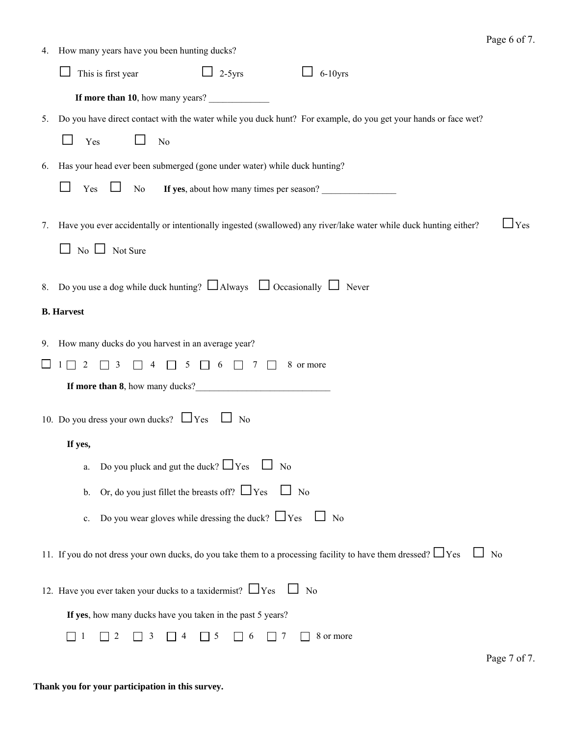|                                                       | 4. How many years have you been hunting ducks?                                                                                           |  |  |
|-------------------------------------------------------|------------------------------------------------------------------------------------------------------------------------------------------|--|--|
|                                                       | This is first year<br>$\Box$ 2-5 yrs<br>$\Box$ 6-10yrs                                                                                   |  |  |
|                                                       | If more than 10, how many years?                                                                                                         |  |  |
| 5.                                                    | Do you have direct contact with the water while you duck hunt? For example, do you get your hands or face wet?                           |  |  |
|                                                       | Yes<br>No                                                                                                                                |  |  |
| 6.                                                    | Has your head ever been submerged (gone under water) while duck hunting?                                                                 |  |  |
|                                                       | Yes<br>If yes, about how many times per season?<br>⊔<br>No                                                                               |  |  |
| 7.                                                    | Have you ever accidentally or intentionally ingested (swallowed) any river/lake water while duck hunting either?<br>$\mathbf{\perp}$ Yes |  |  |
|                                                       | $\Box$ No $\Box$ Not Sure                                                                                                                |  |  |
|                                                       | 8. Do you use a dog while duck hunting? $\Box$ Always $\Box$ Occasionally $\Box$ Never                                                   |  |  |
| <b>B.</b> Harvest                                     |                                                                                                                                          |  |  |
|                                                       | 9. How many ducks do you harvest in an average year?                                                                                     |  |  |
|                                                       | $\overline{3}$<br>$\Box$ 2<br>$\overline{4}$<br>8 or more<br>$\frac{1}{2}$                                                               |  |  |
|                                                       | If more than 8, how many ducks?<br><u>If</u> more than 8, how many ducks?                                                                |  |  |
| 10. Do you dress your own ducks? $\Box$ Yes $\Box$ No |                                                                                                                                          |  |  |
|                                                       | If yes,                                                                                                                                  |  |  |
|                                                       | Do you pluck and gut the duck? $\Box$ Yes $\Box$ No<br>a.                                                                                |  |  |
|                                                       | Or, do you just fillet the breasts off? $\Box$ Yes $\Box$ No<br>$\mathbf{b}$ .                                                           |  |  |
|                                                       | Do you wear gloves while dressing the duck? $\Box$ Yes $\Box$ No<br>c.                                                                   |  |  |
|                                                       | 11. If you do not dress your own ducks, do you take them to a processing facility to have them dressed? $\Box$ Yes<br>$\Box$ No          |  |  |
|                                                       | 12. Have you ever taken your ducks to a taxidermist? $\Box$ Yes<br>$\Box$ No                                                             |  |  |
|                                                       | If yes, how many ducks have you taken in the past 5 years?                                                                               |  |  |
|                                                       | 8 or more<br>5<br>7<br>2<br>3<br>6                                                                                                       |  |  |
|                                                       | Page 7 of 7.                                                                                                                             |  |  |

## **Thank you for your participation in this survey.**

Page 6 of 7.